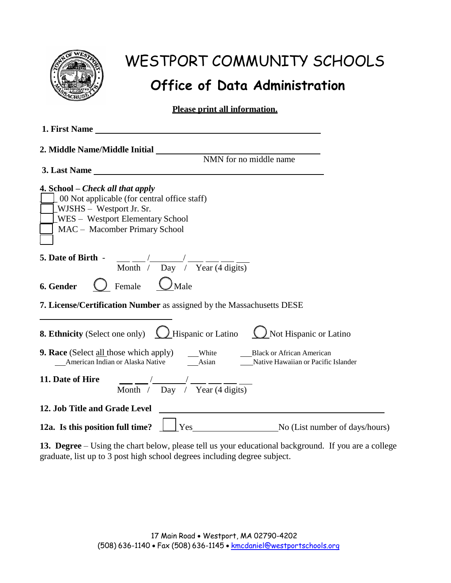

### **Office of Data Administration**

**Please print all information.**

| 1. First Name                                                                                                                                                                                                |  |  |  |
|--------------------------------------------------------------------------------------------------------------------------------------------------------------------------------------------------------------|--|--|--|
| 2. Middle Name/Middle Initial                                                                                                                                                                                |  |  |  |
| NMN for no middle name<br>3. Last Name                                                                                                                                                                       |  |  |  |
| 4. School – Check all that apply<br>$\perp$ 00 Not applicable (for central office staff)<br>$\lfloor$ WJSHS – Westport Jr. Sr.<br>$\angle$ WES – Westport Elementary School<br>MAC - Macomber Primary School |  |  |  |
| 5. Date of Birth - $\frac{1}{\text{Month}}$ / $\frac{1}{\text{Day}}$ / $\frac{1}{\text{Year}}$ (4 digits)                                                                                                    |  |  |  |
| Female $\bigcup$ Male<br>6. Gender                                                                                                                                                                           |  |  |  |
| 7. License/Certification Number as assigned by the Massachusetts DESE                                                                                                                                        |  |  |  |
| <b>8. Ethnicity</b> (Select one only) <b>Q</b> Hispanic or Latino <b>Q</b> Not Hispanic or Latino                                                                                                            |  |  |  |
|                                                                                                                                                                                                              |  |  |  |
| 11. Date of Hire<br>Month $\frac{1}{\sqrt{2}}$ Day $\frac{1}{\sqrt{2}}$ Year (4 digits)                                                                                                                      |  |  |  |
| 12. Job Title and Grade Level<br><u> 1980 - John Stone, mars et al. (</u> † 1920)                                                                                                                            |  |  |  |
| <b>12a.</b> Is this position full time? $Yes$ $Yes$ No (List number of days/hours)                                                                                                                           |  |  |  |

**13. Degree** – Using the chart below, please tell us your educational background. If you are a college graduate, list up to 3 post high school degrees including degree subject.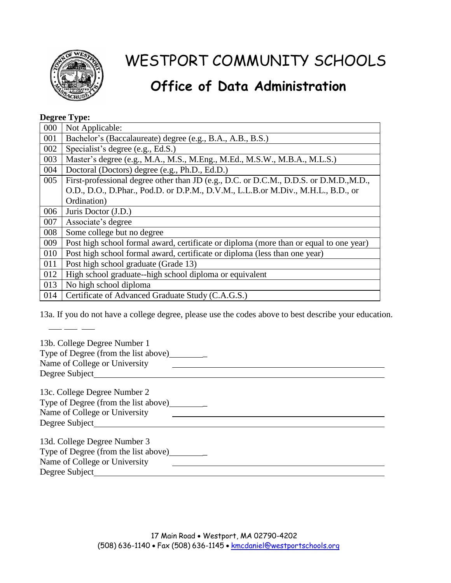

## **Office of Data Administration**

#### **Degree Type:**

| 000 | Not Applicable:                                                                        |  |
|-----|----------------------------------------------------------------------------------------|--|
| 001 | Bachelor's (Baccalaureate) degree (e.g., B.A., A.B., B.S.)                             |  |
| 002 | Specialist's degree (e.g., Ed.S.)                                                      |  |
| 003 | Master's degree (e.g., M.A., M.S., M.Eng., M.Ed., M.S.W., M.B.A., M.L.S.)              |  |
| 004 | Doctoral (Doctors) degree (e.g., Ph.D., Ed.D.)                                         |  |
| 005 | First-professional degree other than JD (e.g., D.C. or D.C.M., D.D.S. or D.M.D., M.D., |  |
|     | O.D., D.O., D.Phar., Pod.D. or D.P.M., D.V.M., L.L.B.or M.Div., M.H.L., B.D., or       |  |
|     | Ordination)                                                                            |  |
| 006 | Juris Doctor (J.D.)                                                                    |  |
| 007 | Associate's degree                                                                     |  |
| 008 | Some college but no degree                                                             |  |
| 009 | Post high school formal award, certificate or diploma (more than or equal to one year) |  |
| 010 | Post high school formal award, certificate or diploma (less than one year)             |  |
| 011 | Post high school graduate (Grade 13)                                                   |  |
| 012 | High school graduate--high school diploma or equivalent                                |  |
| 013 | No high school diploma                                                                 |  |
| 014 | Certificate of Advanced Graduate Study (C.A.G.S.)                                      |  |

13a. If you do not have a college degree, please use the codes above to best describe your education.

| 13b. College Degree Number 1         |  |
|--------------------------------------|--|
| Type of Degree (from the list above) |  |
| Name of College or University        |  |
| Degree Subject                       |  |
| 13c. College Degree Number 2         |  |
| Type of Degree (from the list above) |  |
|                                      |  |
| Name of College or University        |  |
|                                      |  |
| 13d. College Degree Number 3         |  |
| Type of Degree (from the list above) |  |
| Name of College or University        |  |
| Degree Subject                       |  |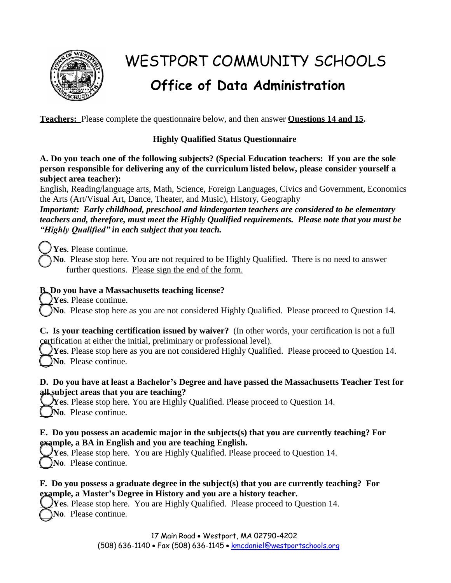

# WESTPORT COMMUNITY SCHOOLS **Office of Data Administration**

**Teachers:** Please complete the questionnaire below, and then answer **Questions 14 and 15.**

#### **Highly Qualified Status Questionnaire**

**A. Do you teach one of the following subjects? (Special Education teachers: If you are the sole person responsible for delivering any of the curriculum listed below, please consider yourself a subject area teacher):**

English, Reading/language arts, Math, Science, Foreign Languages, Civics and Government, Economics the Arts (Art/Visual Art, Dance, Theater, and Music), History, Geography

*Important: Early childhood, preschool and kindergarten teachers are considered to be elementary teachers and, therefore, must meet the Highly Qualified requirements. Please note that you must be "Highly Qualified" in each subject that you teach.*

**Yes**. Please continue.

**No**. Please stop here. You are not required to be Highly Qualified. There is no need to answer further questions. Please sign the end of the form.

#### **B. Do you have a Massachusetts teaching license?**

**Yes**. Please continue.

**No**. Please stop here as you are not considered Highly Qualified. Please proceed to Question 14.

**C. Is your teaching certification issued by waiver?** (In other words, your certification is not a full certification at either the initial, preliminary or professional level).

**Yes**. Please stop here as you are not considered Highly Qualified. Please proceed to Question 14. **No**. Please continue.

#### **D. Do you have at least a Bachelor's Degree and have passed the Massachusetts Teacher Test for all subject areas that you are teaching?**

**Yes**. Please stop here. You are Highly Qualified. Please proceed to Question 14. **No**. Please continue.

#### **E. Do you possess an academic major in the subjects(s) that you are currently teaching? For example, a BA in English and you are teaching English.**

**Yes**. Please stop here. You are Highly Qualified. Please proceed to Question 14. **No**. Please continue.

#### **F. Do you possess a graduate degree in the subject(s) that you are currently teaching? For example, a Master's Degree in History and you are a history teacher.**

**Yes**. Please stop here. You are Highly Qualified. Please proceed to Question 14. **No**. Please continue.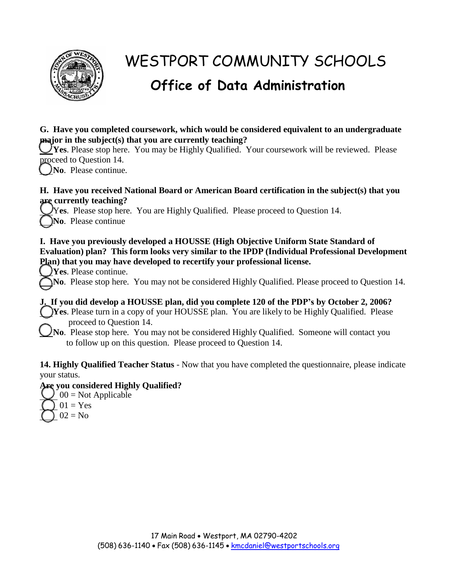

## **Office of Data Administration**

#### **G. Have you completed coursework, which would be considered equivalent to an undergraduate major in the subject(s) that you are currently teaching?**

**Yes**. Please stop here. You may be Highly Qualified. Your coursework will be reviewed. Please proceed to Question 14.

**No**. Please continue.

#### **H. Have you received National Board or American Board certification in the subject(s) that you are currently teaching?**

Y**es**. Please stop here. You are Highly Qualified. Please proceed to Question 14. **No**. Please continue

#### **I. Have you previously developed a HOUSSE (High Objective Uniform State Standard of Evaluation) plan? This form looks very similar to the IPDP (Individual Professional Development Plan) that you may have developed to recertify your professional license.**

**Yes**. Please continue.

**No**. Please stop here. You may not be considered Highly Qualified. Please proceed to Question 14.

**J. If you did develop a HOUSSE plan, did you complete 120 of the PDP's by October 2, 2006? Yes**. Please turn in a copy of your HOUSSE plan. You are likely to be Highly Qualified. Please proceed to Question 14.

**No**. Please stop here. You may not be considered Highly Qualified. Someone will contact you to follow up on this question. Please proceed to Question 14.

**14. Highly Qualified Teacher Status** - Now that you have completed the questionnaire, please indicate your status.

#### **Are you considered Highly Qualified?**

 $00 = Not$  Applicable  $01 = Yes$  $02 = No$